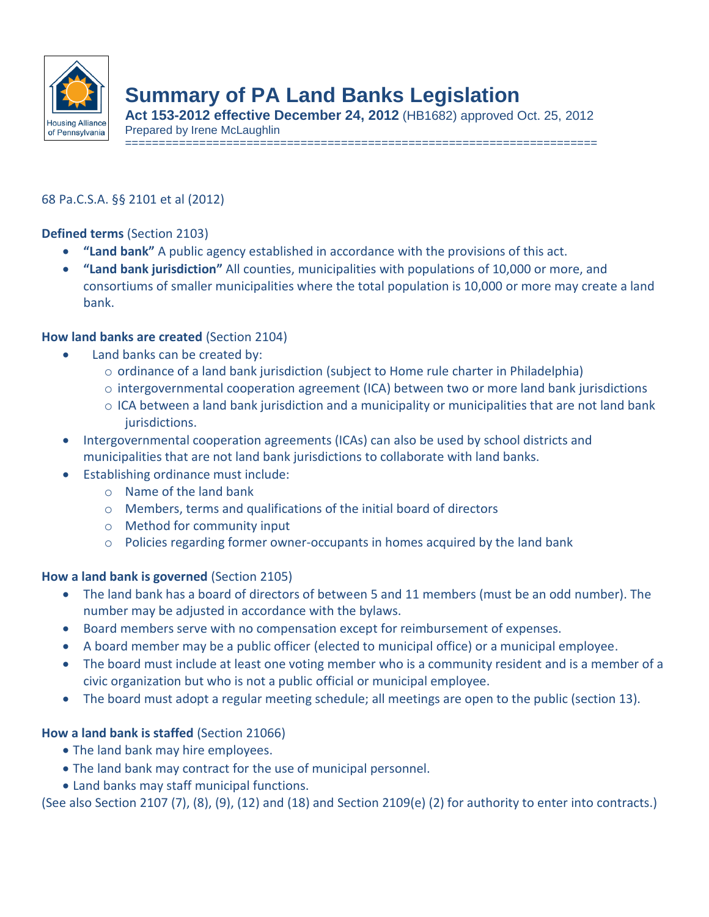

# **Summary of PA Land Banks Legislation**

**Act 153-2012 effective December 24, 2012** (HB1682) approved Oct. 25, 2012 Prepared by Irene McLaughlin

======================================================================

## 68 Pa.C.S.A. §§ 2101 et al (2012)

**Defined terms** (Section 2103)

- **"Land bank"** A public agency established in accordance with the provisions of this act.
- **"Land bank jurisdiction"** All counties, municipalities with populations of 10,000 or more, and consortiums of smaller municipalities where the total population is 10,000 or more may create a land bank.

#### **How land banks are created** (Section 2104)

- Land banks can be created by:
	- $\circ$  ordinance of a land bank jurisdiction (subject to Home rule charter in Philadelphia)
	- $\circ$  intergovernmental cooperation agreement (ICA) between two or more land bank jurisdictions
	- $\circ$  ICA between a land bank jurisdiction and a municipality or municipalities that are not land bank jurisdictions.
- Intergovernmental cooperation agreements (ICAs) can also be used by school districts and municipalities that are not land bank jurisdictions to collaborate with land banks.
- Establishing ordinance must include:
	- o Name of the land bank
	- o Members, terms and qualifications of the initial board of directors
	- o Method for community input
	- $\circ$  Policies regarding former owner-occupants in homes acquired by the land bank

## **How a land bank is governed** (Section 2105)

- The land bank has a board of directors of between 5 and 11 members (must be an odd number). The number may be adjusted in accordance with the bylaws.
- Board members serve with no compensation except for reimbursement of expenses.
- A board member may be a public officer (elected to municipal office) or a municipal employee.
- The board must include at least one voting member who is a community resident and is a member of a civic organization but who is not a public official or municipal employee.
- The board must adopt a regular meeting schedule; all meetings are open to the public (section 13).

## **How a land bank is staffed** (Section 21066)

- The land bank may hire employees.
- The land bank may contract for the use of municipal personnel.
- Land banks may staff municipal functions.

(See also Section 2107 (7), (8), (9), (12) and (18) and Section 2109(e) (2) for authority to enter into contracts.)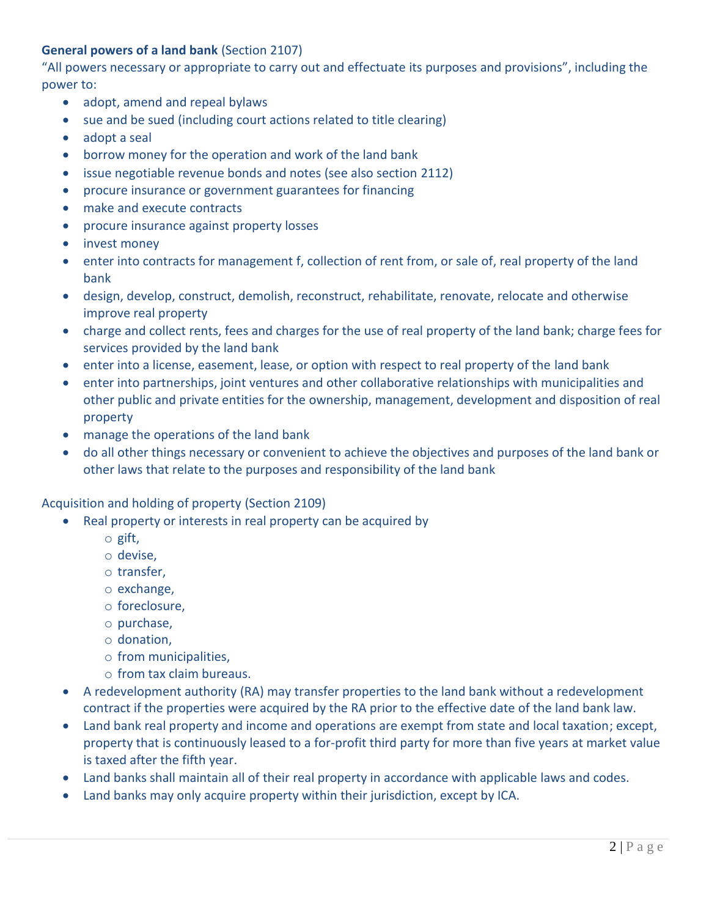## **General powers of a land bank** (Section 2107)

"All powers necessary or appropriate to carry out and effectuate its purposes and provisions", including the power to:

- adopt, amend and repeal bylaws
- sue and be sued (including court actions related to title clearing)
- adopt a seal
- borrow money for the operation and work of the land bank
- issue negotiable revenue bonds and notes (see also section 2112)
- procure insurance or government guarantees for financing
- make and execute contracts
- procure insurance against property losses
- invest money
- enter into contracts for management f, collection of rent from, or sale of, real property of the land bank
- design, develop, construct, demolish, reconstruct, rehabilitate, renovate, relocate and otherwise improve real property
- charge and collect rents, fees and charges for the use of real property of the land bank; charge fees for services provided by the land bank
- enter into a license, easement, lease, or option with respect to real property of the land bank
- enter into partnerships, joint ventures and other collaborative relationships with municipalities and other public and private entities for the ownership, management, development and disposition of real property
- manage the operations of the land bank
- do all other things necessary or convenient to achieve the objectives and purposes of the land bank or other laws that relate to the purposes and responsibility of the land bank

Acquisition and holding of property (Section 2109)

- Real property or interests in real property can be acquired by
	- o gift,
	- o devise,
	- o transfer,
	- o exchange,
	- o foreclosure,
	- o purchase,
	- o donation,
	- o from municipalities,
	- o from tax claim bureaus.
- A redevelopment authority (RA) may transfer properties to the land bank without a redevelopment contract if the properties were acquired by the RA prior to the effective date of the land bank law.
- Land bank real property and income and operations are exempt from state and local taxation; except, property that is continuously leased to a for-profit third party for more than five years at market value is taxed after the fifth year.
- Land banks shall maintain all of their real property in accordance with applicable laws and codes.
- Land banks may only acquire property within their jurisdiction, except by ICA.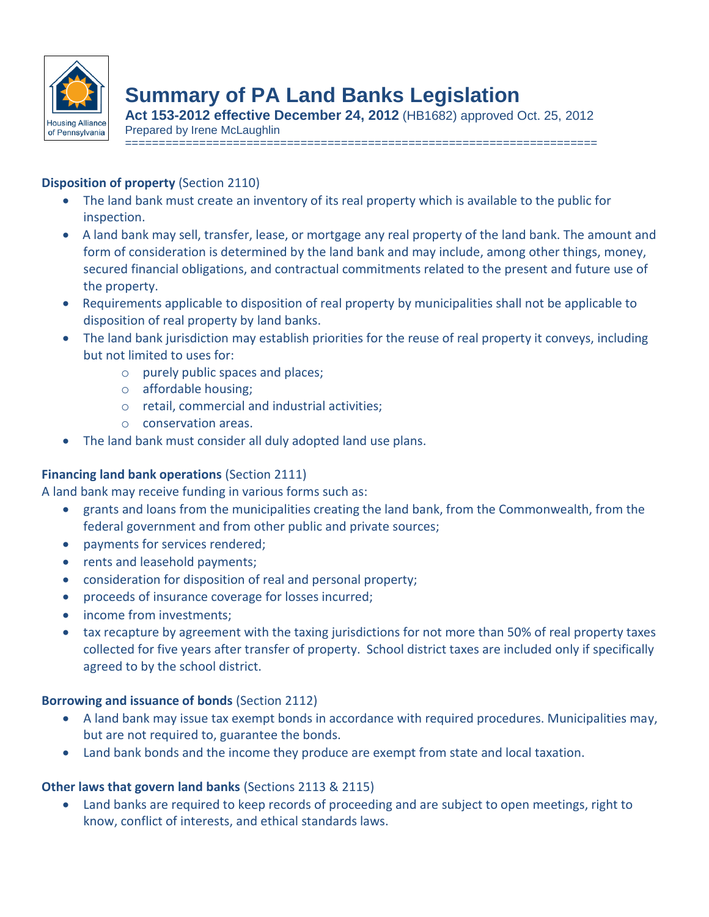

# **Summary of PA Land Banks Legislation**

**Act 153-2012 effective December 24, 2012** (HB1682) approved Oct. 25, 2012 Prepared by Irene McLaughlin

======================================================================

#### **Disposition of property** (Section 2110)

- The land bank must create an inventory of its real property which is available to the public for inspection.
- A land bank may sell, transfer, lease, or mortgage any real property of the land bank. The amount and form of consideration is determined by the land bank and may include, among other things, money, secured financial obligations, and contractual commitments related to the present and future use of the property.
- Requirements applicable to disposition of real property by municipalities shall not be applicable to disposition of real property by land banks.
- The land bank jurisdiction may establish priorities for the reuse of real property it conveys, including but not limited to uses for:
	- o purely public spaces and places;
	- o affordable housing;
	- o retail, commercial and industrial activities;
	- o conservation areas.
- The land bank must consider all duly adopted land use plans.

## **Financing land bank operations** (Section 2111)

A land bank may receive funding in various forms such as:

- grants and loans from the municipalities creating the land bank, from the Commonwealth, from the federal government and from other public and private sources;
- payments for services rendered;
- rents and leasehold payments:
- consideration for disposition of real and personal property;
- proceeds of insurance coverage for losses incurred;
- income from investments;
- tax recapture by agreement with the taxing jurisdictions for not more than 50% of real property taxes collected for five years after transfer of property. School district taxes are included only if specifically agreed to by the school district.

## **Borrowing and issuance of bonds** (Section 2112)

- A land bank may issue tax exempt bonds in accordance with required procedures. Municipalities may, but are not required to, guarantee the bonds.
- Land bank bonds and the income they produce are exempt from state and local taxation.

## **Other laws that govern land banks** (Sections 2113 & 2115)

 Land banks are required to keep records of proceeding and are subject to open meetings, right to know, conflict of interests, and ethical standards laws.